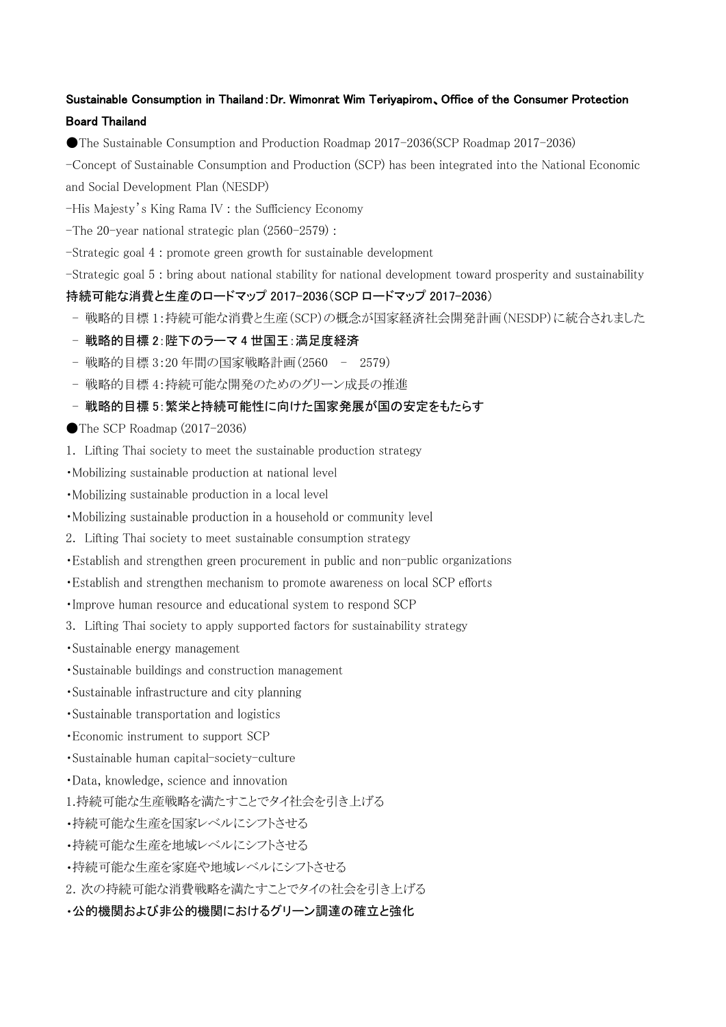# Sustainable Consumption in Thailand:Dr. Wimonrat Wim Teriyapirom、Office of the Consumer Protection Board Thailand

●The Sustainable Consumption and Production Roadmap 2017-2036(SCP Roadmap 2017-2036)

-Concept of Sustainable Consumption and Production (SCP) has been integrated into the National Economic and Social Development Plan (NESDP)

-His Majesty's King Rama IV : the Sufficiency Economy

-The 20-year national strategic plan (2560-2579) :

-Strategic goal 4 : promote green growth for sustainable development

-Strategic goal 5 : bring about national stability for national development toward prosperity and sustainability

持続可能な消費と生産のロードマップ 2017-2036(SCP ロードマップ 2017-2036)

- 戦略的目標 1:持続可能な消費と生産(SCP)の概念が国家経済社会開発計画(NESDP)に統合されました
- 戦略的目標 2:陛下のラーマ 4 世国王:満足度経済
- 戦略的目標 3:20 年間の国家戦略計画(2560 2579)
- 戦略的目標 4:持続可能な開発のためのグリーン成長の推進
- 戦略的目標 5:繁栄と持続可能性に向けた国家発展が国の安定をもたらす
- $\bullet$  The SCP Roadmap (2017-2036)
- 1. Lifting Thai society to meet the sustainable production strategy
- •Mobilizing sustainable production at national level
- Mobilizing sustainable production in a local level
- •Mobilizing sustainable production in a household or community level
- 2. Lifting Thai society to meet sustainable consumption strategy
- Establish and strengthen green procurement in public and non-public organizations
- Establish and strengthen mechanism to promote awareness on local SCP efforts
- . Improve human resource and educational system to respond SCP
- 3. Lifting Thai society to apply supported factors for sustainability strategy
- •Sustainable energy management
- Sustainable buildings and construction management
- •Sustainable infrastructure and city planning
- Sustainable transportation and logistics
- Economic instrument to support SCP
- Sustainable human capital-society-culture
- ·Data, knowledge, science and innovation
- 1.持続可能な生産戦略を満たすことでタイ社会を引き上げる
- 持続可能な生産を国家レベルにシフトさせる
- 持続可能な生産を地域レベルにシフトさせる
- 持続可能な生産を家庭や地域レベルにシフトさせる
- 2.次の持続可能な消費戦略を満たすことでタイの社会を引き上げる
- 公的機関および非公的機関におけるグリーン調達の確立と強化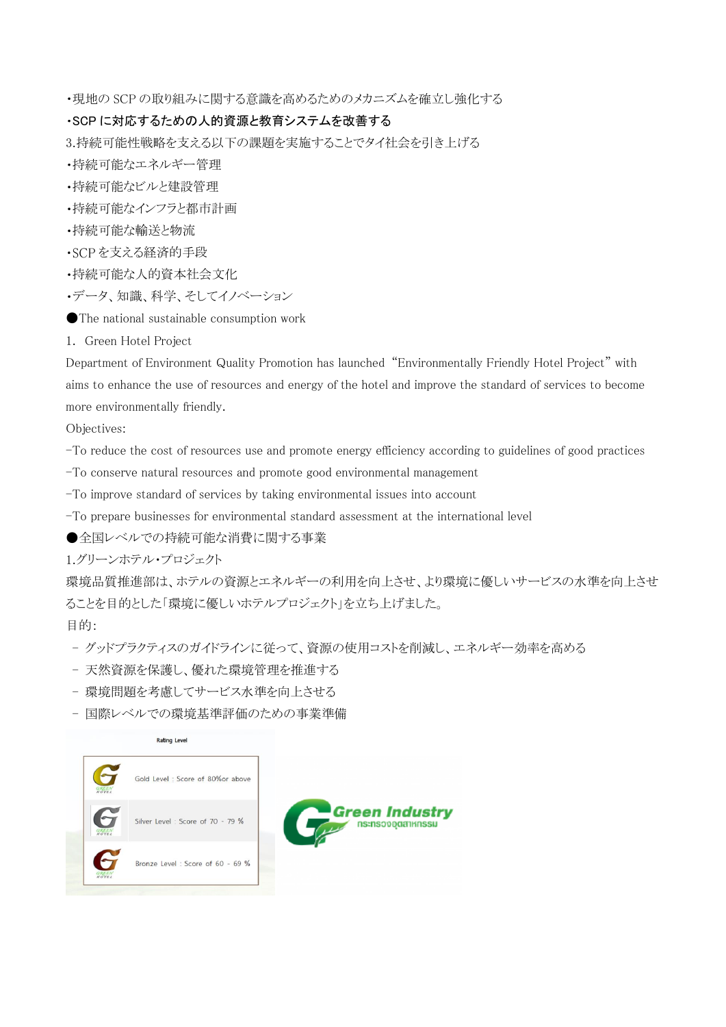現地の SCP の取り組みに関する意識を高めるためのメカニズムを確立し強化する

#### SCP に対応するための人的資源と教育システムを改善する

3.持続可能性戦略を支える以下の課題を実施することでタイ社会を引き上げる

- 持続可能なエネルギー管理
- 持続可能なビルと建設管理
- 持続可能なインフラと都市計画
- 持続可能な輸送と物流
- を支える経済的手段
- 持続可能な人的資本社会文化
- データ、知識、科学、そしてイノベーション
- ●The national sustainable consumption work
- 1. Green Hotel Project

Department of Environment Quality Promotion has launched "Environmentally Friendly Hotel Project" with aims to enhance the use of resources and energy of the hotel and improve the standard of services to become more environmentally friendly.

Objectives:

- -To reduce the cost of resources use and promote energy efficiency according to guidelines of good practices
- -To conserve natural resources and promote good environmental management
- -To improve standard of services by taking environmental issues into account
- -To prepare businesses for environmental standard assessment at the international level
- ●全国レベルでの持続可能な消費に関する事業

1.グリーンホテル・プロジェクト

環境品質推進部は、ホテルの資源とエネルギーの利用を向上させ、より環境に優しいサービスの水準を向上させ ることを目的とした「環境に優しいホテルプロジェクト」を立ち上げました。

目的:

- グッドプラクティスのガイドラインに従って、資源の使用コストを削減し、エネルギー効率を高める
- 天然資源を保護し、優れた環境管理を推進する
- 環境問題を考慮してサービス水準を向上させる
- 国際レベルでの環境基準評価のための事業準備



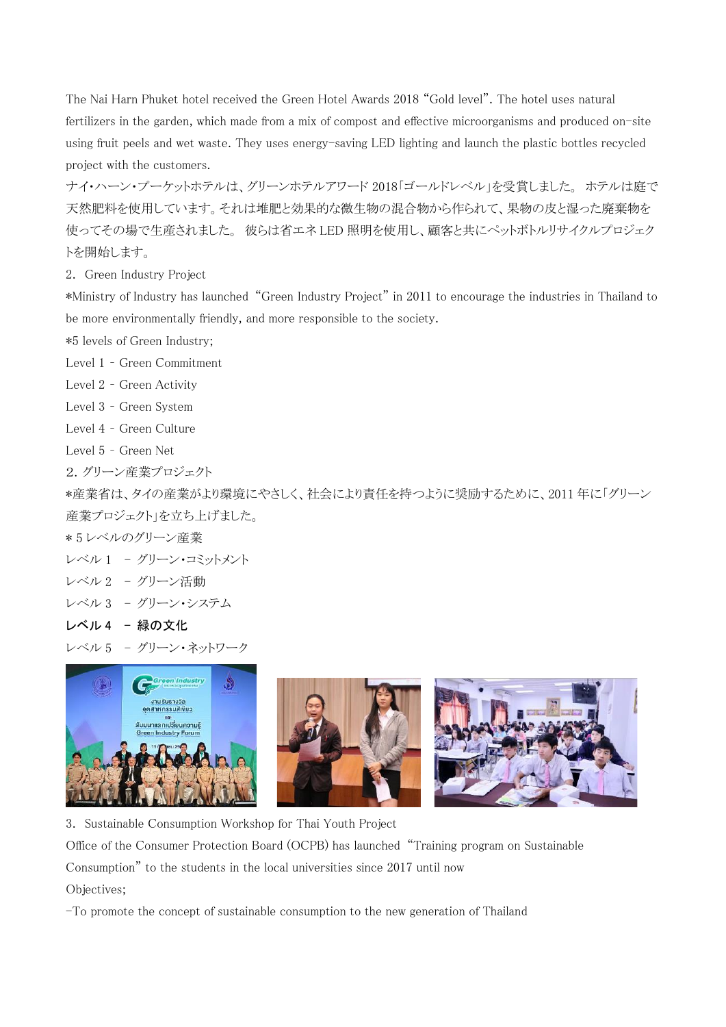The Nai Harn Phuket hotel received the Green Hotel Awards 2018 "Gold level". The hotel uses natural fertilizers in the garden, which made from a mix of compost and effective microorganisms and produced on-site using fruit peels and wet waste. They uses energy-saving LED lighting and launch the plastic bottles recycled project with the customers.

ナイ・ハーン・プーケットホテルは、グリーンホテルアワード 2018「ゴールドレベル」を受賞しました。 ホテルは庭で 天然肥料を使用しています。それは堆肥と効果的な微生物の混合物から作られて、果物の皮と湿った廃棄物を 使ってその場で生産されました。 彼らは省エネ LED 照明を使用し、顧客と共にペットボトルリサイクルプロジェク トを開始します。

2. Green Industry Project

\*Ministry of Industry has launched "Green Industry Project" in 2011 to encourage the industries in Thailand to be more environmentally friendly, and more responsible to the society.

\*5 levels of Green Industry;

Level 1 – Green Commitment

Level 2 – Green Activity

Level 3 – Green System

Level 4 – Green Culture

Level 5 – Green Net

2.グリーン産業プロジェクト

\*産業省は、タイの産業がより環境にやさしく、社会により責任を持つように奨励するために、2011 年に「グリーン 産業プロジェクト」を立ち上げました。

\* 5 レベルのグリーン産業

レベル 1 - グリーン・コミットメント

レベル 2 - グリーン活動

レベル 3 - グリーン・システム

レベル 4 - 緑の文化

レベル 5 - グリーン・ネットワーク



3. Sustainable Consumption Workshop for Thai Youth Project

Office of the Consumer Protection Board (OCPB) has launched "Training program on Sustainable

Consumption" to the students in the local universities since 2017 until now

Objectives;

-To promote the concept of sustainable consumption to the new generation of Thailand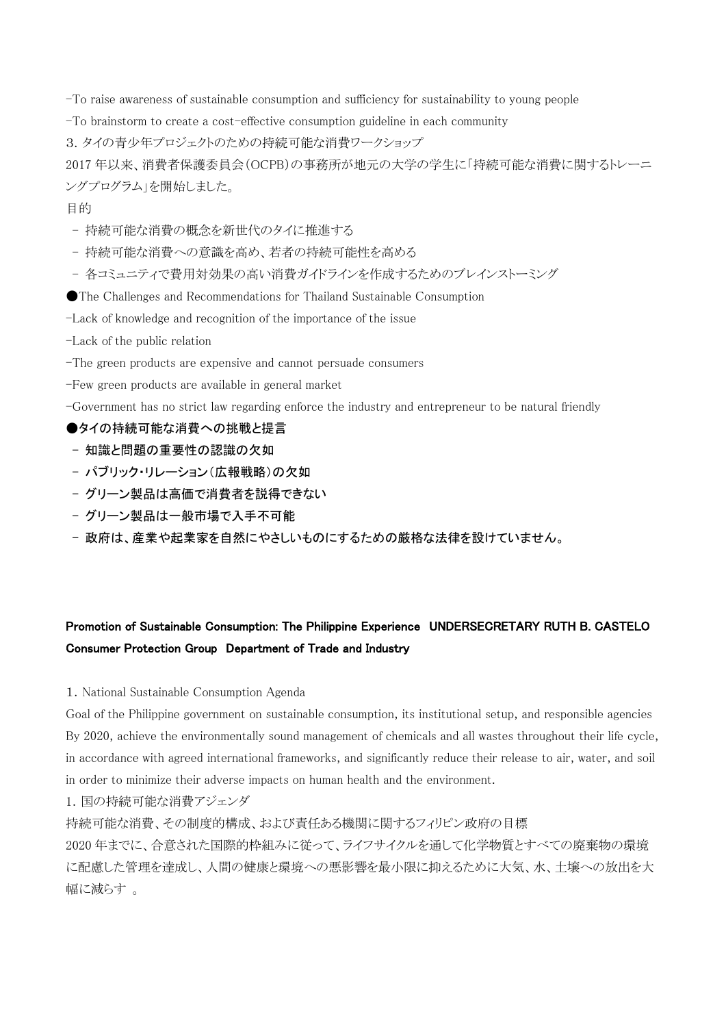-To raise awareness of sustainable consumption and sufficiency for sustainability to young people

-To brainstorm to create a cost-effective consumption guideline in each community

3.タイの青少年プロジェクトのための持続可能な消費ワークショップ

2017 年以来、消費者保護委員会(OCPB)の事務所が地元の大学の学生に「持続可能な消費に関するトレーニ ングプログラム」を開始しました。

#### 目的

- 持続可能な消費の概念を新世代のタイに推進する
- 持続可能な消費への意識を高め、若者の持続可能性を高める
- 各コミュニティで費用対効果の高い消費ガイドラインを作成するためのブレインストーミング
- ●The Challenges and Recommendations for Thailand Sustainable Consumption
- -Lack of knowledge and recognition of the importance of the issue
- -Lack of the public relation
- -The green products are expensive and cannot persuade consumers
- -Few green products are available in general market
- -Government has no strict law regarding enforce the industry and entrepreneur to be natural friendly

## ●タイの持続可能な消費への挑戦と提言

- 知識と問題の重要性の認識の欠如
- パブリック・リレーション(広報戦略)の欠如
- グリーン製品は高価で消費者を説得できない
- グリーン製品は一般市場で入手不可能
- 政府は、産業や起業家を自然にやさしいものにするための厳格な法律を設けていません。

# Promotion of Sustainable Consumption: The Philippine Experience UNDERSECRETARY RUTH B. CASTELO Consumer Protection Group Department of Trade and Industry

1. National Sustainable Consumption Agenda

Goal of the Philippine government on sustainable consumption, its institutional setup, and responsible agencies By 2020, achieve the environmentally sound management of chemicals and all wastes throughout their life cycle, in accordance with agreed international frameworks, and significantly reduce their release to air, water, and soil in order to minimize their adverse impacts on human health and the environment.

1.国の持続可能な消費アジェンダ

持続可能な消費、その制度的構成、および責任ある機関に関するフィリピン政府の目標

2020 年までに、合意された国際的枠組みに従って、ライフサイクルを通して化学物質とすべての廃棄物の環境 に配慮した管理を達成し、人間の健康と環境への悪影響を最小限に抑えるために大気、水、土壌への放出を大 幅に減らす 。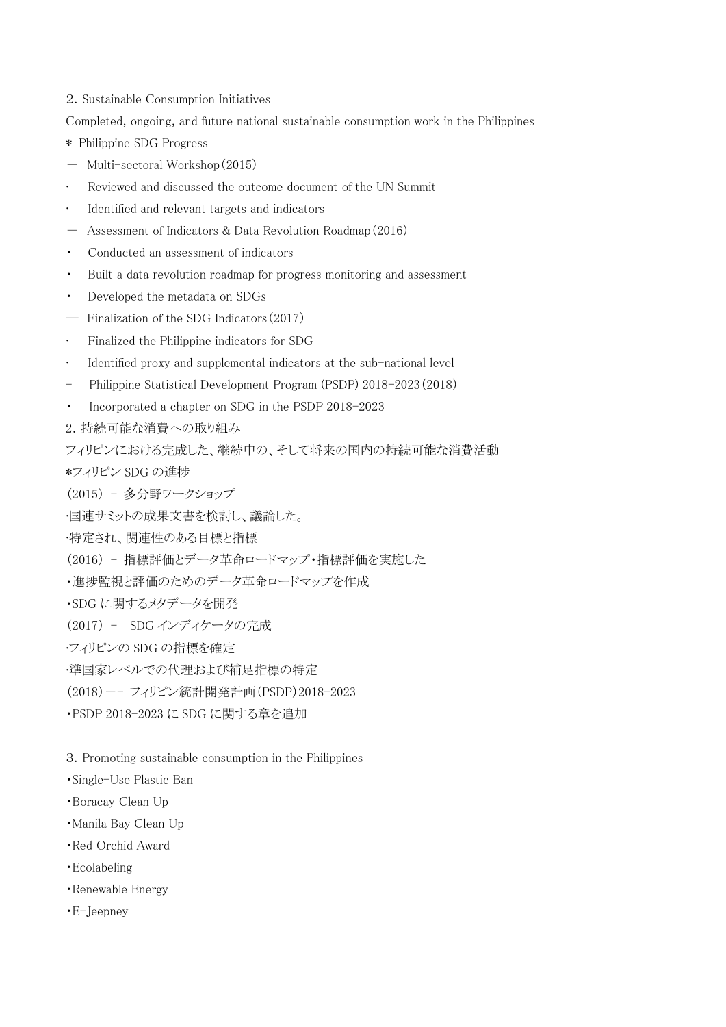- 2. Sustainable Consumption Initiatives
- Completed, ongoing, and future national sustainable consumption work in the Philippines
- \* Philippine SDG Progress
- Multi-sectoral Workshop(2015)
- Reviewed and discussed the outcome document of the UN Summit
- Identified and relevant targets and indicators
- Assessment of Indicators & Data Revolution Roadmap(2016)
- ・ Conducted an assessment of indicators
- Built a data revolution roadmap for progress monitoring and assessment
- ・ Developed the metadata on SDGs
- ― Finalization of the SDG Indicators(2017)
- Finalized the Philippine indicators for SDG
- Identified proxy and supplemental indicators at the sub-national level
- Philippine Statistical Development Program (PSDP) 2018-2023(2018)
- Incorporated a chapter on SDG in the PSDP 2018-2023
- 2. 持続可能な消費への取り組み
- フィリピンにおける完成した、継続中の、そして将来の国内の持続可能な消費活動
- \*フィリピン SDG の進捗
- (2015) 多分野ワークショップ
- •国連サミットの成果文書を検討し、議論した。
- •特定され、関連性のある目標と指標
- (2016) 指標評価とデータ革命ロードマップ・指標評価を実施した
- ・進捗監視と評価のためのデータ革命ロードマップを作成
- ・SDG に関するメタデータを開発
- (2017) SDG インディケータの完成
- •フィリピンの SDG の指標を確定
- •準国家レベルでの代理および補足指標の特定
- (2018)-- フィリピン統計開発計画(PSDP)2018-2023
- ・PSDP 2018-2023 に SDG に関する章を追加
- 3.Promoting sustainable consumption in the Philippines
- ・Single-Use Plastic Ban
- ・Boracay Clean Up
- ・Manila Bay Clean Up
- ・Red Orchid Award
- ・Ecolabeling
- ・Renewable Energy
- ・E-Jeepney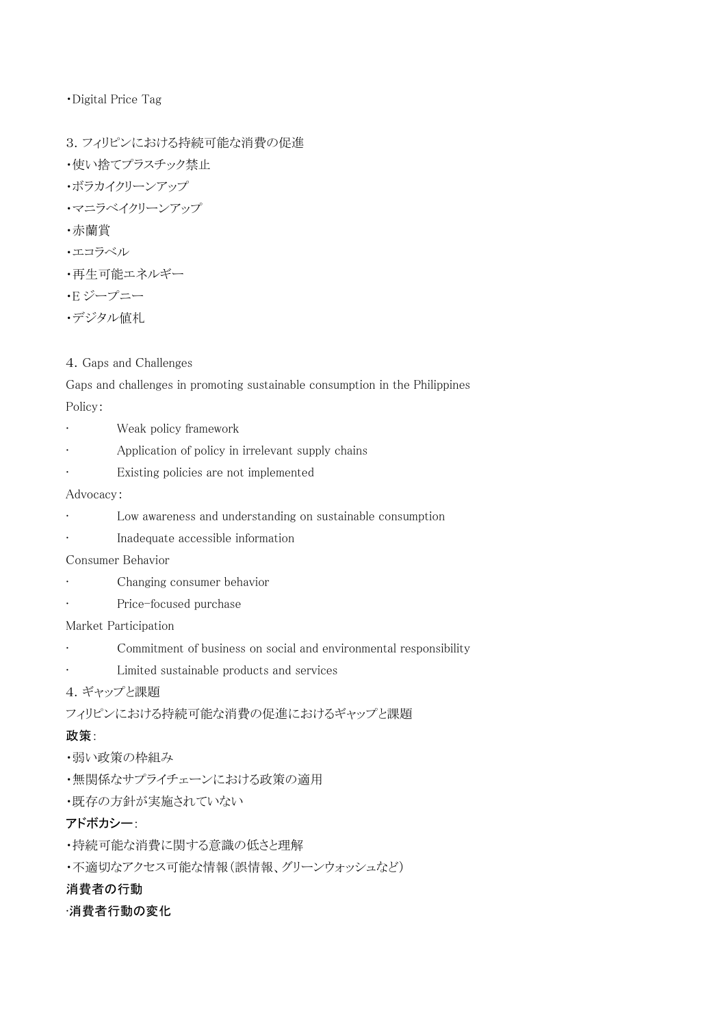・Digital Price Tag

- 3.フィリピンにおける持続可能な消費の促進 ・使い捨てプラスチック禁止 ・ボラカイクリーンアップ ・マニラベイクリーンアップ
- ・赤蘭賞
- ・エコラベル
- ・再生可能エネルギー
- ・E ジープニー
- ・デジタル値札

#### 4.Gaps and Challenges

Gaps and challenges in promoting sustainable consumption in the Philippines Policy:

- Weak policy framework
- Application of policy in irrelevant supply chains
- Existing policies are not implemented

#### Advocacy:

- Low awareness and understanding on sustainable consumption
- Inadequate accessible information

Consumer Behavior

- Changing consumer behavior
- Price-focused purchase

#### Market Participation

- Commitment of business on social and environmental responsibility
- Limited sustainable products and services
- 4.ギャップと課題
- フィリピンにおける持続可能な消費の促進におけるギャップと課題

# 政策:

- ・弱い政策の枠組み
- ・無関係なサプライチェーンにおける政策の適用
- ・既存の方針が実施されていない

# アドボカシー:

- ・持続可能な消費に関する意識の低さと理解
- ・不適切なアクセス可能な情報(誤情報、グリーンウォッシュなど)

# 消費者の行動

# •消費者行動の変化